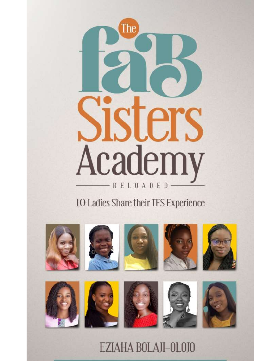

# 10 Ladies Share their TFS Experience



EZIAHA BOLAJI-OLOJO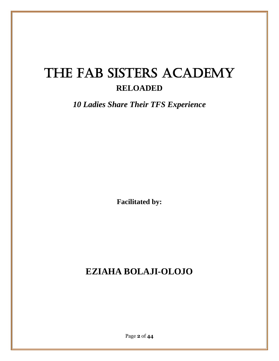# The FAB SISTERS ACADEMY **RELOADED**

*10 Ladies Share Their TFS Experience*

**Facilitated by:**

# **EZIAHA BOLAJI-OLOJO**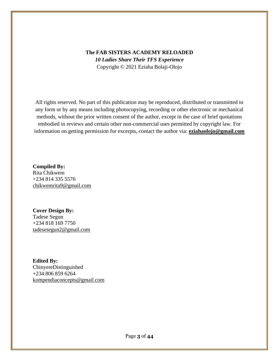#### **The FAB SISTERS ACADEMY RELOADED** *10 Ladies Share Their TFS Experience* Copyright © 2021 Eziaha Bolaji-Olojo

All rights reserved. No part of this publication may be reproduced, distributed or transmitted in any form or by any means including photocopying, recording or other electronic or mechanical methods, without the prior written consent of the author, except in the case of brief quotations embodied in reviews and certain other non-commercial uses permitted by copyright law. For information on getting permission for excerpts, contact the author via: **[eziahaolojo@gmail.com](mailto:eziahaolojo@gmail.com)**

**Compiled By:** Rita Chikwem +234 814 335 5576 [chikwemrita9@gmail.com](mailto:chikwemrita9@gmail.com)

**Cover Design By:** Tadese Segun +234 818 169 7750 [tadesesegun2@gmail.com](mailto:tadesesegun2@gmail.com)

**Edited By:** ChinyereDistinguished +234 806 859 6264 [kompendiaconcepts@gmail.com](mailto:kompendiaconcepts@gmail.com)

Page **3** of **44**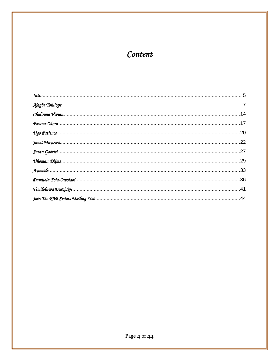# Content

| .22 |
|-----|
|     |
|     |
|     |
|     |
| .41 |
|     |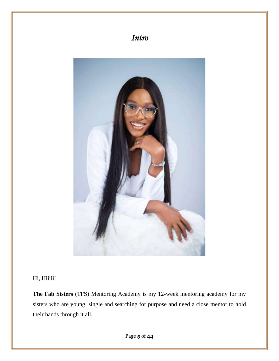

Hi, Hiiiii!

**The Fab Sisters** (TFS) Mentoring Academy is my 12-week mentoring academy for my sisters who are young, single and searching for purpose and need a close mentor to hold their hands through it all.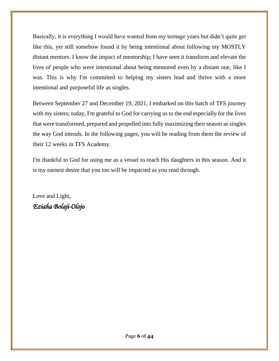Basically, it is everything I would have wanted from my teenage years but didn't quite get like this, yet still somehow found it by being intentional about following my MOSTLY distant mentors. I know the impact of mentorship; I have seen it transform and elevate the lives of people who were intentional about being mentored even by a distant one, like I was. This is why I'm committed to helping my sisters lead and thrive with a more intentional and purposeful life as singles.

Between September 27 and December 19, 2021, I embarked on this batch of TFS journey with my sisters; today, I'm grateful to God for carrying us to the end especially for the lives that were transformed, prepared and propelled into fully maximizing their season as singles the way God intends. In the following pages, you will be reading from them the review of their 12 weeks in TFS Academy.

I'm thankful to God for using me as a vessel to reach His daughters in this season. And it is my earnest desire that you too will be impacted as you read through.

Love and Light, *Eziaha Bolaji-Olojo*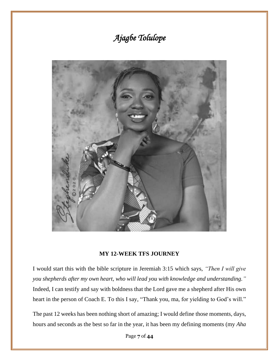# *Ajagbe Tolulope*



#### **MY 12-WEEK TFS JOURNEY**

I would start this with the bible scripture in Jeremiah 3:15 which says, *"Then I will give you shepherds after my own heart, who will lead you with knowledge and understanding."* Indeed, I can testify and say with boldness that the Lord gave me a shepherd after His own heart in the person of Coach E. To this I say, "Thank you, ma, for yielding to God's will."

The past 12 weeks has been nothing short of amazing; I would define those moments, days, hours and seconds as the best so far in the year, it has been my defining moments (my *Aha*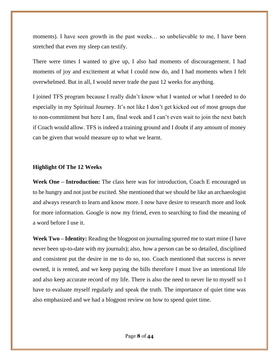moments). I have seen growth in the past weeks... so unbelievable to me, I have been stretched that even my sleep can testify.

There were times I wanted to give up, I also had moments of discouragement. I had moments of joy and excitement at what I could now do, and I had moments when I felt overwhelmed. But in all, I would never trade the past 12 weeks for anything.

I joined TFS program because I really didn't know what I wanted or what I needed to do especially in my Spiritual Journey. It's not like I don't get kicked out of most groups due to non-commitment but here I am, final week and I can't even wait to join the next batch if Coach would allow. TFS is indeed a training ground and I doubt if any amount of money can be given that would measure up to what we learnt.

#### **Highlight Of The 12 Weeks**

**Week One – Introduction:** The class here was for introduction, Coach E encouraged us to be hungry and not just be excited. She mentioned that we should be like an archaeologist and always research to learn and know more. I now have desire to research more and look for more information. Google is now my friend, even to searching to find the meaning of a word before I use it.

**Week Two – Identity:** Reading the blogpost on journaling spurred me to start mine (I have never been up-to-date with my journals); also, how a person can be so detailed, disciplined and consistent put the desire in me to do so, too. Coach mentioned that success is never owned, it is rented, and we keep paying the bills therefore I must live an intentional life and also keep accurate record of my life. There is also the need to never lie to myself so I have to evaluate myself regularly and speak the truth. The importance of quiet time was also emphasized and we had a blogpost review on how to spend quiet time.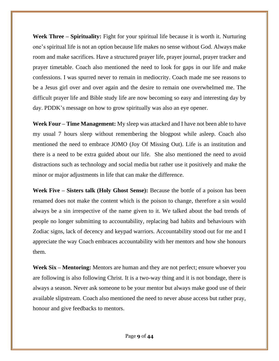**Week Three – Spirituality:** Fight for your spiritual life because it is worth it. Nurturing one's spiritual life is not an option because life makes no sense without God. Always make room and make sacrifices. Have a structured prayer life, prayer journal, prayer tracker and prayer timetable. Coach also mentioned the need to look for gaps in our life and make confessions. I was spurred never to remain in mediocrity. Coach made me see reasons to be a Jesus girl over and over again and the desire to remain one overwhelmed me. The difficult prayer life and Bible study life are now becoming so easy and interesting day by day. PDDK's message on how to grow spiritually was also an eye opener.

**Week Four – Time Management:** My sleep was attacked and I have not been able to have my usual 7 hours sleep without remembering the blogpost while asleep. Coach also mentioned the need to embrace JOMO (Joy Of Missing Out). Life is an institution and there is a need to be extra guided about our life. She also mentioned the need to avoid distractions such as technology and social media but rather use it positively and make the minor or major adjustments in life that can make the difference.

**Week Five – Sisters talk (Holy Ghost Sense):** Because the bottle of a poison has been renamed does not make the content which is the poison to change, therefore a sin would always be a sin irrespective of the name given to it. We talked about the bad trends of people no longer submitting to accountability, replacing bad habits and behaviours with Zodiac signs, lack of decency and keypad warriors. Accountability stood out for me and I appreciate the way Coach embraces accountability with her mentors and how she honours them.

**Week Six – Mentoring:** Mentors are human and they are not perfect; ensure whoever you are following is also following Christ. It is a two-way thing and it is not bondage, there is always a season. Never ask someone to be your mentor but always make good use of their available slipstream. Coach also mentioned the need to never abuse access but rather pray, honour and give feedbacks to mentors.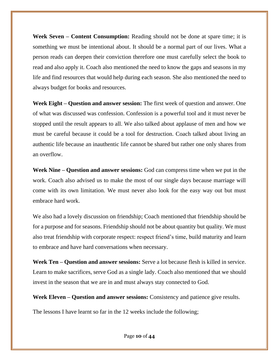**Week Seven – Content Consumption:** Reading should not be done at spare time; it is something we must be intentional about. It should be a normal part of our lives. What a person reads can deepen their conviction therefore one must carefully select the book to read and also apply it. Coach also mentioned the need to know the gaps and seasons in my life and find resources that would help during each season. She also mentioned the need to always budget for books and resources.

**Week Eight – Question and answer session:** The first week of question and answer. One of what was discussed was confession. Confession is a powerful tool and it must never be stopped until the result appears to all. We also talked about applause of men and how we must be careful because it could be a tool for destruction. Coach talked about living an authentic life because an inauthentic life cannot be shared but rather one only shares from an overflow.

**Week Nine – Question and answer sessions:** God can compress time when we put in the work. Coach also advised us to make the most of our single days because marriage will come with its own limitation. We must never also look for the easy way out but must embrace hard work.

We also had a lovely discussion on friendship; Coach mentioned that friendship should be for a purpose and for seasons. Friendship should not be about quantity but quality. We must also treat friendship with corporate respect: respect friend's time, build maturity and learn to embrace and have hard conversations when necessary.

**Week Ten** – **Question and answer sessions:** Serve a lot because flesh is killed in service. Learn to make sacrifices, serve God as a single lady. Coach also mentioned that we should invest in the season that we are in and must always stay connected to God.

**Week Eleven – Question and answer sessions:** Consistency and patience give results.

The lessons I have learnt so far in the 12 weeks include the following;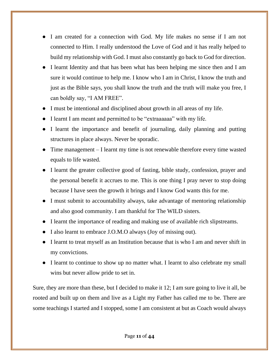- I am created for a connection with God. My life makes no sense if I am not connected to Him. I really understood the Love of God and it has really helped to build my relationship with God. I must also constantly go back to God for direction.
- I learnt Identity and that has been what has been helping me since then and I am sure it would continue to help me. I know who I am in Christ, I know the truth and just as the Bible says, you shall know the truth and the truth will make you free, I can boldly say, "I AM FREE".
- I must be intentional and disciplined about growth in all areas of my life.
- I learnt I am meant and permitted to be "extraaaaaa" with my life.
- I learnt the importance and benefit of journaling, daily planning and putting structures in place always. Never be sporadic.
- Time management I learnt my time is not renewable therefore every time wasted equals to life wasted.
- I learnt the greater collective good of fasting, bible study, confession, prayer and the personal benefit it accrues to me. This is one thing I pray never to stop doing because I have seen the growth it brings and I know God wants this for me.
- I must submit to accountability always, take advantage of mentoring relationship and also good community. I am thankful for The WILD sisters.
- I learnt the importance of reading and making use of available rich slipstreams.
- I also learnt to embrace J.O.M.O always (Joy of missing out).
- I learnt to treat myself as an Institution because that is who I am and never shift in my convictions.
- I learnt to continue to show up no matter what. I learnt to also celebrate my small wins but never allow pride to set in.

Sure, they are more than these, but I decided to make it 12; I am sure going to live it all, be rooted and built up on them and live as a Light my Father has called me to be. There are some teachings I started and I stopped, some I am consistent at but as Coach would always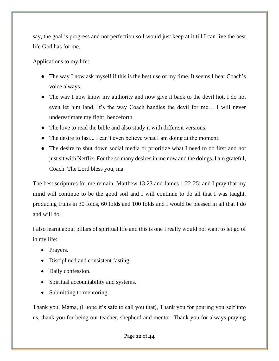say, the goal is progress and not perfection so I would just keep at it till I can live the best life God has for me.

Applications to my life:

- The way I now ask myself if this is the best use of my time. It seems I hear Coach's voice always.
- The way I now know my authority and now give it back to the devil hot, I do not even let him land. It's the way Coach handles the devil for me… I will never underestimate my fight, henceforth.
- The love to read the bible and also study it with different versions.
- The desire to fast... I can't even believe what I am doing at the moment.
- The desire to shut down social media or prioritize what I need to do first and not just sit with Netflix. For the so many desires in me now and the doings, I am grateful, Coach. The Lord bless you, ma.

The best scriptures for me remain: Matthew 13:23 and James 1:22-25; and I pray that my mind will continue to be the good soil and I will continue to do all that I was taught, producing fruits in 30 folds, 60 folds and 100 folds and I would be blessed in all that I do and will do.

I also learnt about pillars of spiritual life and this is one I really would not want to let go of in my life:

- Prayers.
- Disciplined and consistent fasting.
- Daily confession.
- Spiritual accountability and systems.
- Submitting to mentoring.

Thank you, Mama, (I hope it's safe to call you that), Thank you for pouring yourself into us, thank you for being our teacher, shepherd and mentor. Thank you for always praying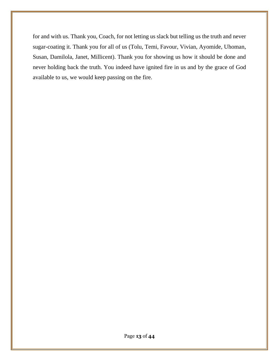for and with us. Thank you, Coach, for not letting us slack but telling us the truth and never sugar-coating it. Thank you for all of us (Tolu, Temi, Favour, Vivian, Ayomide, Uhoman, Susan, Damilola, Janet, Millicent). Thank you for showing us how it should be done and never holding back the truth. You indeed have ignited fire in us and by the grace of God available to us, we would keep passing on the fire.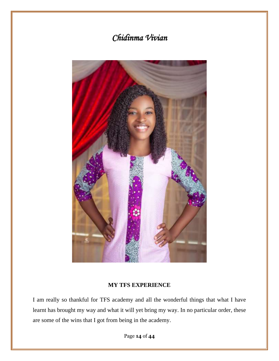# *Chidinma Vivian*



#### **MY TFS EXPERIENCE**

I am really so thankful for TFS academy and all the wonderful things that what I have learnt has brought my way and what it will yet bring my way. In no particular order, these are some of the wins that I got from being in the academy.

Page **14** of **44**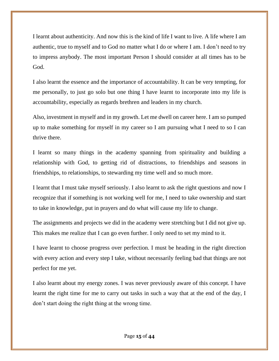I learnt about authenticity. And now this is the kind of life I want to live. A life where I am authentic, true to myself and to God no matter what I do or where I am. I don't need to try to impress anybody. The most important Person I should consider at all times has to be God.

I also learnt the essence and the importance of accountability. It can be very tempting, for me personally, to just go solo but one thing I have learnt to incorporate into my life is accountability, especially as regards brethren and leaders in my church.

Also, investment in myself and in my growth. Let me dwell on career here. I am so pumped up to make something for myself in my career so I am pursuing what I need to so I can thrive there.

I learnt so many things in the academy spanning from spirituality and building a relationship with God, to getting rid of distractions, to friendships and seasons in friendships, to relationships, to stewarding my time well and so much more.

I learnt that I must take myself seriously. I also learnt to ask the right questions and now I recognize that if something is not working well for me, I need to take ownership and start to take in knowledge, put in prayers and do what will cause my life to change.

The assignments and projects we did in the academy were stretching but I did not give up. This makes me realize that I can go even further. I only need to set my mind to it.

I have learnt to choose progress over perfection. I must be heading in the right direction with every action and every step I take, without necessarily feeling bad that things are not perfect for me yet.

I also learnt about my energy zones. I was never previously aware of this concept. I have learnt the right time for me to carry out tasks in such a way that at the end of the day, I don't start doing the right thing at the wrong time.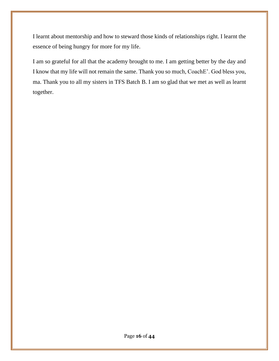I learnt about mentorship and how to steward those kinds of relationships right. I learnt the essence of being hungry for more for my life.

I am so grateful for all that the academy brought to me. I am getting better by the day and I know that my life will not remain the same. Thank you so much, CoachE'. God bless you, ma. Thank you to all my sisters in TFS Batch B. I am so glad that we met as well as learnt together.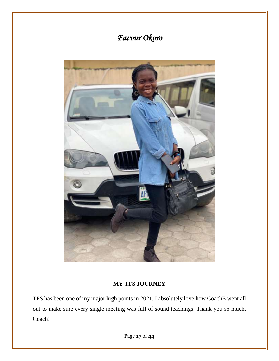

# **MY TFS JOURNEY**

TFS has been one of my major high points in 2021. I absolutely love how CoachE went all out to make sure every single meeting was full of sound teachings. Thank you so much, Coach!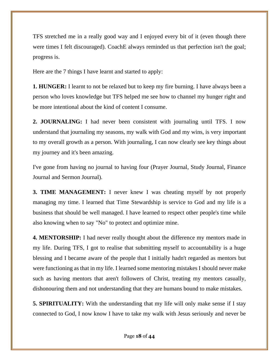TFS stretched me in a really good way and I enjoyed every bit of it (even though there were times I felt discouraged). CoachE always reminded us that perfection isn't the goal; progress is.

Here are the 7 things I have learnt and started to apply:

**1. HUNGER:** I learnt to not be relaxed but to keep my fire burning. I have always been a person who loves knowledge but TFS helped me see how to channel my hunger right and be more intentional about the kind of content I consume.

**2. JOURNALING:** I had never been consistent with journaling until TFS. I now understand that journaling my seasons, my walk with God and my wins, is very important to my overall growth as a person. With journaling, I can now clearly see key things about my journey and it's been amazing.

I've gone from having no journal to having four (Prayer Journal, Study Journal, Finance Journal and Sermon Journal).

**3. TIME MANAGEMENT:** I never knew I was cheating myself by not properly managing my time. I learned that Time Stewardship is service to God and my life is a business that should be well managed. I have learned to respect other people's time while also knowing when to say "No" to protect and optimize mine.

**4. MENTORSHIP:** I had never really thought about the difference my mentors made in my life. During TFS, I got to realise that submitting myself to accountability is a huge blessing and I became aware of the people that I initially hadn't regarded as mentors but were functioning as that in my life. I learned some mentoring mistakes I should never make such as having mentors that aren't followers of Christ, treating my mentors casually, dishonouring them and not understanding that they are humans bound to make mistakes.

**5. SPIRITUALITY:** With the understanding that my life will only make sense if I stay connected to God, I now know I have to take my walk with Jesus seriously and never be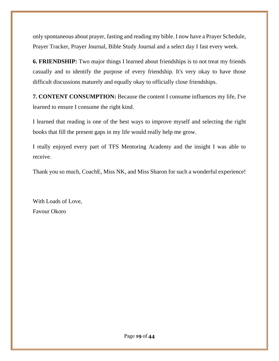only spontaneous about prayer, fasting and reading my bible. I now have a Prayer Schedule, Prayer Tracker, Prayer Journal, Bible Study Journal and a select day I fast every week.

**6. FRIENDSHIP:** Two major things I learned about friendships is to not treat my friends casually and to identify the purpose of every friendship. It's very okay to have those difficult discussions maturely and equally okay to officially close friendships.

**7. CONTENT CONSUMPTION:** Because the content I consume influences my life, I've learned to ensure I consume the right kind.

I learned that reading is one of the best ways to improve myself and selecting the right books that fill the present gaps in my life would really help me grow.

I really enjoyed every part of TFS Mentoring Academy and the insight I was able to receive.

Thank you so much, CoachE, Miss NK, and Miss Sharon for such a wonderful experience!

With Loads of Love, Favour Okoro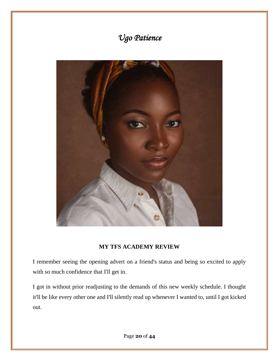# *Ugo Patience*



# **MY TFS ACADEMY REVIEW**

I remember seeing the opening advert on a friend's status and being so excited to apply with so much confidence that I'll get in.

I got in without prior readjusting to the demands of this new weekly schedule. I thought it'll be like every other one and I'll silently read up whenever I wanted to, until I got kicked out.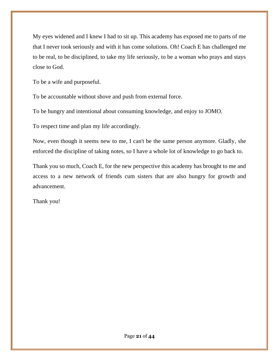My eyes widened and I knew I had to sit up. This academy has exposed me to parts of me that I never took seriously and with it has come solutions. Oh! Coach E has challenged me to be real, to be disciplined, to take my life seriously, to be a woman who prays and stays close to God.

To be a wife and purposeful.

To be accountable without shove and push from external force.

To be hungry and intentional about consuming knowledge, and enjoy to JOMO.

To respect time and plan my life accordingly.

Now, even though it seems new to me, I can't be the same person anymore. Gladly, she enforced the discipline of taking notes, so I have a whole lot of knowledge to go back to.

Thank you so much, Coach E, for the new perspective this academy has brought to me and access to a new network of friends cum sisters that are also hungry for growth and advancement.

Thank you!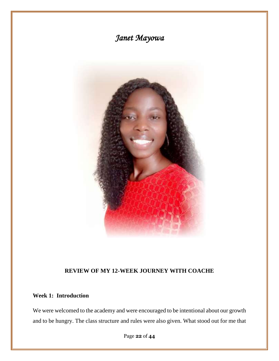

# **REVIEW OF MY 12-WEEK JOURNEY WITH COACHE**

### **Week 1: Introduction**

We were welcomed to the academy and were encouraged to be intentional about our growth and to be hungry. The class structure and rules were also given. What stood out for me that

Page **22** of **44**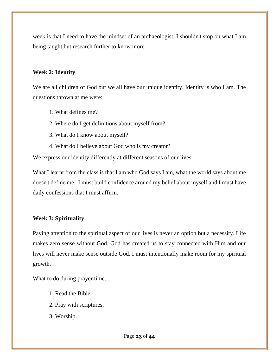week is that I need to have the mindset of an archaeologist. I shouldn't stop on what I am being taught but research further to know more.

#### **Week 2: Identity**

We are all children of God but we all have our unique identity. Identity is who I am. The questions thrown at me were:

- 1. What defines me?
- 2. Where do I get definitions about myself from?
- 3. What do I know about myself?
- 4. What do I believe about God who is my creator?

We express our identity differently at different seasons of our lives.

What I learnt from the class is that I am who God says I am, what the world says about me doesn't define me. I must build confidence around my belief about myself and I must have daily confessions that I must affirm.

### **Week 3: Spirituality**

Paying attention to the spiritual aspect of our lives is never an option but a necessity. Life makes zero sense without God. God has created us to stay connected with Him and our lives will never make sense outside God. I must intentionally make room for my spiritual growth.

What to do during prayer time.

- 1. Read the Bible.
- 2. Pray with scriptures.
- 3. Worship.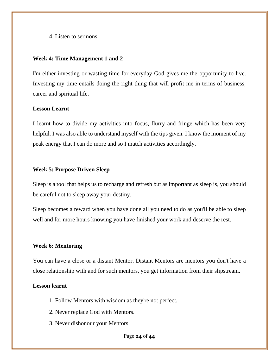4. Listen to sermons.

#### **Week 4: Time Management 1 and 2**

I'm either investing or wasting time for everyday God gives me the opportunity to live. Investing my time entails doing the right thing that will profit me in terms of business, career and spiritual life.

#### **Lesson Learnt**

I learnt how to divide my activities into focus, flurry and fringe which has been very helpful. I was also able to understand myself with the tips given. I know the moment of my peak energy that I can do more and so I match activities accordingly.

#### **Week 5: Purpose Driven Sleep**

Sleep is a tool that helps us to recharge and refresh but as important as sleep is, you should be careful not to sleep away your destiny.

Sleep becomes a reward when you have done all you need to do as you'll be able to sleep well and for more hours knowing you have finished your work and deserve the rest.

#### **Week 6: Mentoring**

You can have a close or a distant Mentor. Distant Mentors are mentors you don't have a close relationship with and for such mentors, you get information from their slipstream.

#### **Lesson learnt**

- 1. Follow Mentors with wisdom as they're not perfect.
- 2. Never replace God with Mentors.
- 3. Never dishonour your Mentors.

Page **24** of **44**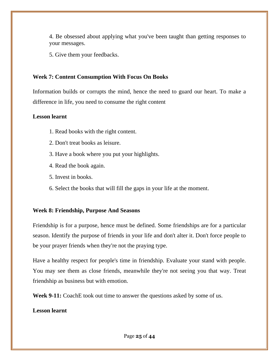4. Be obsessed about applying what you've been taught than getting responses to your messages.

5. Give them your feedbacks.

### **Week 7: Content Consumption With Focus On Books**

Information builds or corrupts the mind, hence the need to guard our heart. To make a difference in life, you need to consume the right content

#### **Lesson learnt**

- 1. Read books with the right content.
- 2. Don't treat books as leisure.
- 3. Have a book where you put your highlights.
- 4. Read the book again.
- 5. Invest in books.
- 6. Select the books that will fill the gaps in your life at the moment.

### **Week 8: Friendship, Purpose And Seasons**

Friendship is for a purpose, hence must be defined. Some friendships are for a particular season. Identify the purpose of friends in your life and don't alter it. Don't force people to be your prayer friends when they're not the praying type.

Have a healthy respect for people's time in friendship. Evaluate your stand with people. You may see them as close friends, meanwhile they're not seeing you that way. Treat friendship as business but with emotion.

**Week 9-11:** CoachE took out time to answer the questions asked by some of us.

### **Lesson learnt**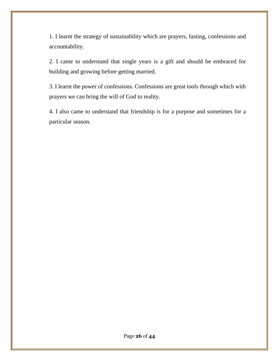1. I learnt the strategy of sustainability which are prayers, fasting, confessions and accountability.

2. I came to understand that single years is a gift and should be embraced for building and growing before getting married.

3. I learnt the power of confessions. Confessions are great tools through which with prayers we can bring the will of God to reality.

4. I also came to understand that friendship is for a purpose and sometimes for a particular season.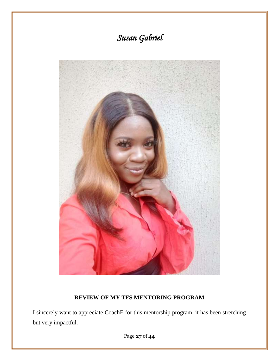

# **REVIEW OF MY TFS MENTORING PROGRAM**

I sincerely want to appreciate CoachE for this mentorship program, it has been stretching but very impactful.

Page **27** of **44**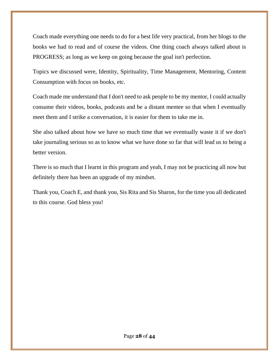Coach made everything one needs to do for a best life very practical, from her blogs to the books we had to read and of course the videos. One thing coach always talked about is PROGRESS; as long as we keep on going because the goal isn't perfection.

Topics we discussed were, Identity, Spirituality, Time Management, Mentoring, Content Consumption with focus on books, etc.

Coach made me understand that I don't need to ask people to be my mentor, I could actually consume their videos, books, podcasts and be a distant mentee so that when I eventually meet them and I strike a conversation, it is easier for them to take me in.

She also talked about how we have so much time that we eventually waste it if we don't take journaling serious so as to know what we have done so far that will lead us to being a better version.

There is so much that I learnt in this program and yeah, I may not be practicing all now but definitely there has been an upgrade of my mindset.

Thank you, Coach E, and thank you, Sis Rita and Sis Sharon, for the time you all dedicated to this course. God bless you!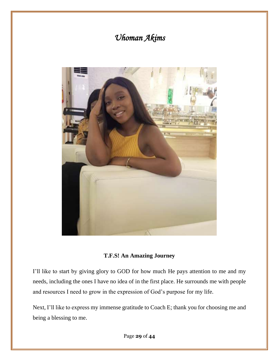# *Uhoman Akims*



#### **T.F.S! An Amazing Journey**

I'll like to start by giving glory to GOD for how much He pays attention to me and my needs, including the ones I have no idea of in the first place. He surrounds me with people and resources I need to grow in the expression of God's purpose for my life.

Next, I'll like to express my immense gratitude to Coach E; thank you for choosing me and being a blessing to me.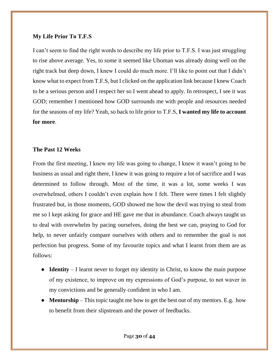#### **My Life Prior To T.F.S**

I can't seem to find the right words to describe my life prior to T.F.S. I was just struggling to rise above average. Yes, to some it seemed like Uhoman was already doing well on the right track but deep down, I knew I could do much more. I'll like to point out that I didn't know what to expect from T.F.S, but I clicked on the application link because I knew Coach to be a serious person and I respect her so I went ahead to apply. In retrospect, I see it was GOD; remember I mentioned how GOD surrounds me with people and resources needed for the seasons of my life? Yeah, so back to life prior to T.F.S, **I wanted my life to account for more**.

#### **The Past 12 Weeks**

From the first meeting, I knew my life was going to change, I knew it wasn't going to be business as usual and right there, I knew it was going to require a lot of sacrifice and I was determined to follow through. Most of the time, it was a lot, some weeks I was overwhelmed, others I couldn't even explain how I felt. There were times I felt slightly frustrated but, in those moments, GOD showed me how the devil was trying to steal from me so I kept asking for grace and HE gave me that in abundance. Coach always taught us to deal with overwhelm by pacing ourselves, doing the best we can, praying to God for help, to never unfairly compare ourselves with others and to remember the goal is not perfection but progress. Some of my favourite topics and what I learnt from them are as follows:

- **Identity** I learnt never to forget my identity in Christ, to know the main purpose of my existence, to improve on my expressions of God's purpose, to not waver in my convictions and be generally confident in who I am.
- **Mentorship** This topic taught me how to get the best out of my mentors. E.g. how to benefit from their slipstream and the power of feedbacks.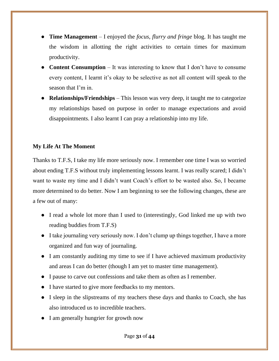- **Time Management** I enjoyed the *focus, flurry and fringe* blog. It has taught me the wisdom in allotting the right activities to certain times for maximum productivity.
- **Content Consumption** It was interesting to know that I don't have to consume every content, I learnt it's okay to be selective as not all content will speak to the season that I'm in.
- **Relationships/Friendships** This lesson was very deep, it taught me to categorize my relationships based on purpose in order to manage expectations and avoid disappointments. I also learnt I can pray a relationship into my life.

### **My Life At The Moment**

Thanks to T.F.S, I take my life more seriously now. I remember one time I was so worried about ending T.F.S without truly implementing lessons learnt. I was really scared; I didn't want to waste my time and I didn't want Coach's effort to be wasted also. So, I became more determined to do better. Now I am beginning to see the following changes, these are a few out of many:

- I read a whole lot more than I used to (interestingly, God linked me up with two reading buddies from T.F.S)
- I take journaling very seriously now. I don't clump up things together, I have a more organized and fun way of journaling.
- I am constantly auditing my time to see if I have achieved maximum productivity and areas I can do better (though I am yet to master time management).
- I pause to carve out confessions and take them as often as I remember.
- I have started to give more feedbacks to my mentors.
- I sleep in the slipstreams of my teachers these days and thanks to Coach, she has also introduced us to incredible teachers.
- I am generally hungrier for growth now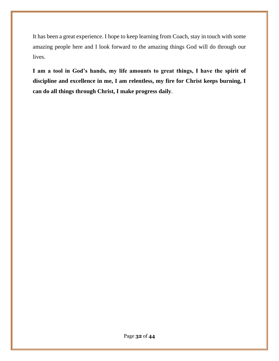It has been a great experience. I hope to keep learning from Coach, stay in touch with some amazing people here and I look forward to the amazing things God will do through our lives.

**I am a tool in God's hands, my life amounts to great things, I have the spirit of discipline and excellence in me, I am relentless, my fire for Christ keeps burning, I can do all things through Christ, I make progress daily**.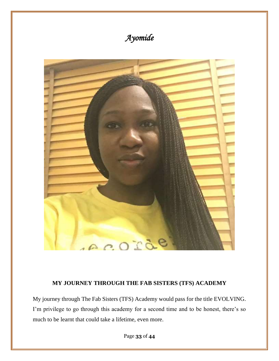

#### **MY JOURNEY THROUGH THE FAB SISTERS (TFS) ACADEMY**

My journey through The Fab Sisters (TFS) Academy would pass for the title EVOLVING. I'm privilege to go through this academy for a second time and to be honest, there's so much to be learnt that could take a lifetime, even more.

Page **33** of **44**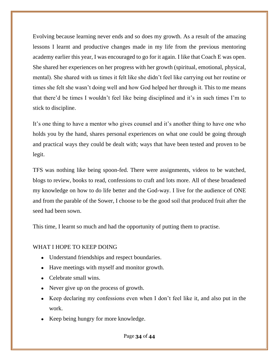Evolving because learning never ends and so does my growth. As a result of the amazing lessons I learnt and productive changes made in my life from the previous mentoring academy earlier this year, I was encouraged to go for it again. I like that Coach E was open. She shared her experiences on her progress with her growth (spiritual, emotional, physical, mental). She shared with us times it felt like she didn't feel like carrying out her routine or times she felt she wasn't doing well and how God helped her through it. This to me means that there'd be times I wouldn't feel like being disciplined and it's in such times I'm to stick to discipline.

It's one thing to have a mentor who gives counsel and it's another thing to have one who holds you by the hand, shares personal experiences on what one could be going through and practical ways they could be dealt with; ways that have been tested and proven to be legit.

TFS was nothing like being spoon-fed. There were assignments, videos to be watched, blogs to review, books to read, confessions to craft and lots more. All of these broadened my knowledge on how to do life better and the God-way. I live for the audience of ONE and from the parable of the Sower, I choose to be the good soil that produced fruit after the seed had been sown.

This time, I learnt so much and had the opportunity of putting them to practise.

#### WHAT I HOPE TO KEEP DOING

- Understand friendships and respect boundaries.
- Have meetings with myself and monitor growth.
- Celebrate small wins.
- Never give up on the process of growth.
- Keep declaring my confessions even when I don't feel like it, and also put in the work.
- Keep being hungry for more knowledge.

Page **34** of **44**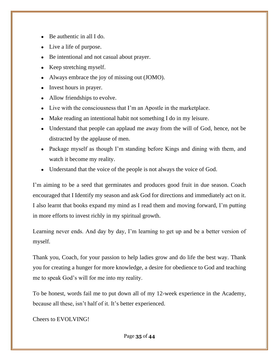- $\bullet$  Be authentic in all I do.
- Live a life of purpose.
- Be intentional and not casual about prayer.
- Keep stretching myself.
- Always embrace the joy of missing out (JOMO).
- Invest hours in prayer.
- Allow friendships to evolve.
- Live with the consciousness that I'm an Apostle in the marketplace.
- Make reading an intentional habit not something I do in my leisure.
- Understand that people can applaud me away from the will of God, hence, not be distracted by the applause of men.
- Package myself as though I'm standing before Kings and dining with them, and watch it become my reality.
- Understand that the voice of the people is not always the voice of God.

I'm aiming to be a seed that germinates and produces good fruit in due season. Coach encouraged that I Identify my season and ask God for directions and immediately act on it. I also learnt that books expand my mind as I read them and moving forward, I'm putting in more efforts to invest richly in my spiritual growth.

Learning never ends. And day by day, I'm learning to get up and be a better version of myself.

Thank you, Coach, for your passion to help ladies grow and do life the best way. Thank you for creating a hunger for more knowledge, a desire for obedience to God and teaching me to speak God's will for me into my reality.

To be honest, words fail me to put down all of my 12-week experience in the Academy, because all these, isn't half of it. It's better experienced.

Cheers to EVOLVING!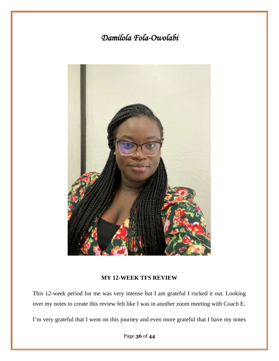# *Damilola Fola-Owolabi*



#### **MY 12-WEEK TFS REVIEW**

This 12-week period for me was very intense but I am grateful I rocked it out. Looking over my notes to create this review felt like I was in another zoom meeting with Coach E.

I'm very grateful that I went on this journey and even more grateful that I have my notes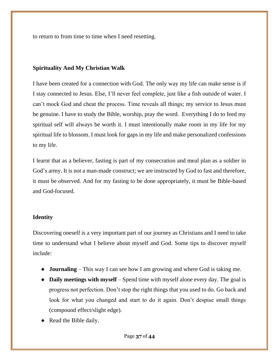to return to from time to time when I need resetting.

#### **Spirituality And My Christian Walk**

I have been created for a connection with God. The only way my life can make sense is if I stay connected to Jesus. Else, I'll never feel complete, just like a fish outside of water. I can't mock God and cheat the process. Time reveals all things; my service to Jesus must be genuine. I have to study the Bible, worship, pray the word. Everything I do to feed my spiritual self will always be worth it. I must intentionally make room in my life for my spiritual life to blossom. I must look for gaps in my life and make personalized confessions to my life.

I learnt that as a believer, fasting is part of my consecration and meal plan as a soldier in God's army. It is not a man-made construct; we are instructed by God to fast and therefore, it must be observed. And for my fasting to be done appropriately, it must be Bible-based and God-focused.

#### **Identity**

Discovering oneself is a very important part of our journey as Christians and I need to take time to understand what I believe about myself and God. Some tips to discover myself include:

- **Journaling**  This way I can see how I am growing and where God is taking me.
- **Daily meetings with myself** Spend time with myself alone every day. The goal is progress not perfection. Don't stop the right things that you used to do. Go back and look for what you changed and start to do it again. Don't despise small things (compound effect/slight edge).
- Read the Bible daily.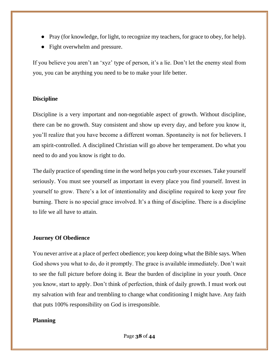- Pray (for knowledge, for light, to recognize my teachers, for grace to obey, for help).
- Fight overwhelm and pressure.

If you believe you aren't an 'xyz' type of person, it's a lie. Don't let the enemy steal from you, you can be anything you need to be to make your life better.

### **Discipline**

Discipline is a very important and non-negotiable aspect of growth. Without discipline, there can be no growth. Stay consistent and show up every day, and before you know it, you'll realize that you have become a different woman. Spontaneity is not for believers. I am spirit-controlled. A disciplined Christian will go above her temperament. Do what you need to do and you know is right to do.

The daily practice of spending time in the word helps you curb your excesses. Take yourself seriously. You must see yourself as important in every place you find yourself. Invest in yourself to grow. There's a lot of intentionality and discipline required to keep your fire burning. There is no special grace involved. It's a thing of discipline. There is a discipline to life we all have to attain.

### **Journey Of Obedience**

You never arrive at a place of perfect obedience; you keep doing what the Bible says. When God shows you what to do, do it promptly. The grace is available immediately. Don't wait to see the full picture before doing it. Bear the burden of discipline in your youth. Once you know, start to apply. Don't think of perfection, think of daily growth. I must work out my salvation with fear and trembling to change what conditioning I might have. Any faith that puts 100% responsibility on God is irresponsible.

### **Planning**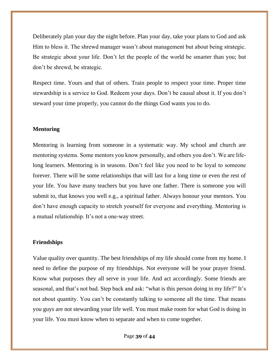Deliberately plan your day the night before. Plan your day, take your plans to God and ask Him to bless it. The shrewd manager wasn't about management but about being strategic. Be strategic about your life. Don't let the people of the world be smarter than you; but don't be shrewd, be strategic.

Respect time. Yours and that of others. Train people to respect your time. Proper time stewardship is a service to God. Redeem your days. Don't be causal about it. If you don't steward your time properly, you cannot do the things God wants you to do.

#### **Mentoring**

Mentoring is learning from someone in a systematic way. My school and church are mentoring systems. Some mentors you know personally, and others you don't. We are lifelong learners. Mentoring is in seasons. Don't feel like you need to be loyal to someone forever. There will be some relationships that will last for a long time or even the rest of your life. You have many teachers but you have one father. There is someone you will submit to, that knows you well e.g., a spiritual father. Always honour your mentors. You don't have enough capacity to stretch yourself for everyone and everything. Mentoring is a mutual relationship. It's not a one-way street.

#### **Friendships**

Value quality over quantity. The best friendships of my life should come from my home. I need to define the purpose of my friendships. Not everyone will be your prayer friend. Know what purposes they all serve in your life. And act accordingly. Some friends are seasonal, and that's not bad. Step back and ask: "what is this person doing in my life?" It's not about quantity. You can't be constantly talking to someone all the time. That means you guys are not stewarding your life well. You must make room for what God is doing in your life. You must know when to separate and when to come together.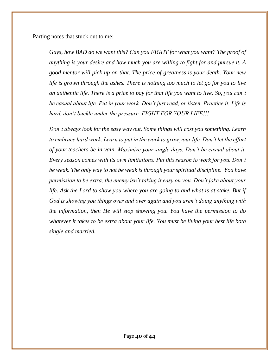Parting notes that stuck out to me:

*Guys, how BAD do we want this? Can you FIGHT for what you want? The proof of anything is your desire and how much you are willing to fight for and pursue it. A good mentor will pick up on that. The price of greatness is your death. Your new life is grown through the ashes. There is nothing too much to let go for you to live an authentic life. There is a price to pay for that life you want to live. So, you can't be casual about life. Put in your work. Don't just read, or listen. Practice it. Life is hard, don't buckle under the pressure. FIGHT FOR YOUR LIFE!!!* 

*Don't always look for the easy way out. Some things will cost you something. Learn to embrace hard work. Learn to put in the work to grow your life. Don't let the effort of your teachers be in vain. Maximize your single days. Don't be casual about it. Every season comes with its own limitations. Put this season to work for you. Don't be weak. The only way to not be weak is through your spiritual discipline. You have permission to be extra, the enemy isn't taking it easy on you. Don't joke about your*  life. Ask the Lord to show you where you are going to and what is at stake. But if *God is showing you things over and over again and you aren't doing anything with the information, then He will stop showing you. You have the permission to do whatever it takes to be extra about your life. You must be living your best life both single and married.*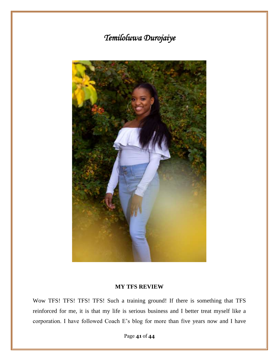# *Temiloluwa Durojaiye*



#### **MY TFS REVIEW**

Wow TFS! TFS! TFS! TFS! Such a training ground! If there is something that TFS reinforced for me, it is that my life is serious business and I better treat myself like a corporation. I have followed Coach E's blog for more than five years now and I have

Page **41** of **44**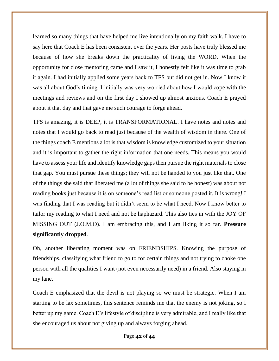learned so many things that have helped me live intentionally on my faith walk. I have to say here that Coach E has been consistent over the years. Her posts have truly blessed me because of how she breaks down the practicality of living the WORD. When the opportunity for close mentoring came and I saw it, I honestly felt like it was time to grab it again. I had initially applied some years back to TFS but did not get in. Now I know it was all about God's timing. I initially was very worried about how I would cope with the meetings and reviews and on the first day I showed up almost anxious. Coach E prayed about it that day and that gave me such courage to forge ahead.

TFS is amazing, it is DEEP, it is TRANSFORMATIONAL. I have notes and notes and notes that I would go back to read just because of the wealth of wisdom in there. One of the things coach E mentions a lot is that wisdom is knowledge customized to your situation and it is important to gather the right information that one needs. This means you would have to assess your life and identify knowledge gaps then pursue the right materials to close that gap. You must pursue these things; they will not be handed to you just like that. One of the things she said that liberated me (a lot of things she said to be honest) was about not reading books just because it is on someone's read list or someone posted it. It is wrong! I was finding that I was reading but it didn't seem to be what I need. Now I know better to tailor my reading to what I need and not be haphazard. This also ties in with the JOY OF MISSING OUT (J.O.M.O). I am embracing this, and I am liking it so far. **Pressure significantly dropped**.

Oh, another liberating moment was on FRIENDSHIPS. Knowing the purpose of friendships, classifying what friend to go to for certain things and not trying to choke one person with all the qualities I want (not even necessarily need) in a friend. Also staying in my lane.

Coach E emphasized that the devil is not playing so we must be strategic. When I am starting to be lax sometimes, this sentence reminds me that the enemy is not joking, so I better up my game. Coach E's lifestyle of discipline is very admirable, and I really like that she encouraged us about not giving up and always forging ahead.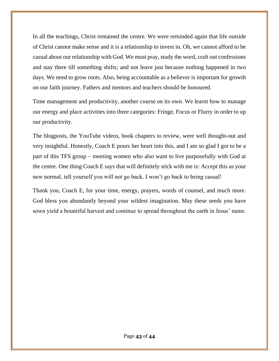In all the teachings, Christ remained the centre. We were reminded again that life outside of Christ cannot make sense and it is a relationship to invest in. Oh, we cannot afford to be casual about our relationship with God. We must pray, study the word, craft out confessions and stay there till something shifts; and not leave just because nothing happened in two days. We need to grow roots. Also, being accountable as a believer is important for growth on our faith journey. Fathers and mentors and teachers should be honoured.

Time management and productivity, another course on its own. We learnt how to manage our energy and place activities into three categories: Fringe, Focus or Flurry in order to up our productivity.

The blogposts, the YouTube videos, book chapters to review, were well thought-out and very insightful. Honestly, Coach E pours her heart into this, and I am so glad I got to be a part of this TFS group – meeting women who also want to live purposefully with God at the centre. One thing Coach E says that will definitely stick with me is: Accept this as your new normal, tell yourself you will not go back. I won't go back to being casual!

Thank you, Coach E, for your time, energy, prayers, words of counsel, and much more. God bless you abundantly beyond your wildest imagination. May these seeds you have sown yield a bountiful harvest and continue to spread throughout the earth in Jesus' name.